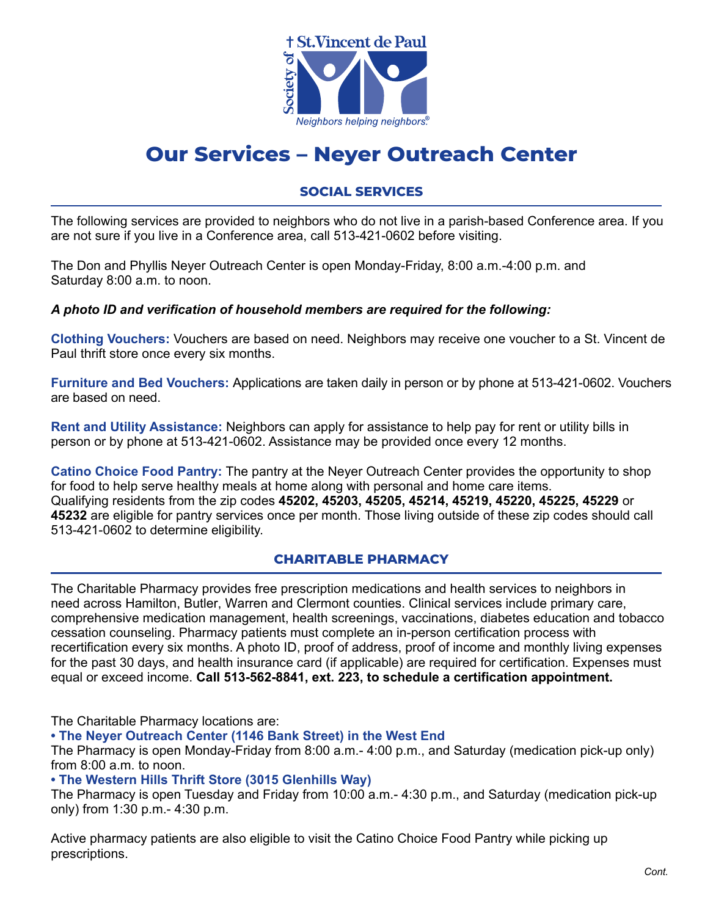

# **Our Services – Neyer Outreach Center**

## **SOCIAL SERVICES**

The following services are provided to neighbors who do not live in a parish-based Conference area. If you are not sure if you live in a Conference area, call 513-421-0602 before visiting.

The Don and Phyllis Neyer Outreach Center is open Monday-Friday, 8:00 a.m.-4:00 p.m. and Saturday 8:00 a.m. to noon.

#### *A photo ID and verification of household members are required for the following:*

**Clothing Vouchers:** Vouchers are based on need. Neighbors may receive one voucher to a St. Vincent de Paul thrift store once every six months.

**Furniture and Bed Vouchers:** Applications are taken daily in person or by phone at 513-421-0602. Vouchers are based on need.

**Rent and Utility Assistance:** Neighbors can apply for assistance to help pay for rent or utility bills in person or by phone at 513-421-0602. Assistance may be provided once every 12 months.

**Catino Choice Food Pantry:** The pantry at the Neyer Outreach Center provides the opportunity to shop for food to help serve healthy meals at home along with personal and home care items. Qualifying residents from the zip codes **45202, 45203, 45205, 45214, 45219, 45220, 45225, 45229** or **45232** are eligible for pantry services once per month. Those living outside of these zip codes should call 513-421-0602 to determine eligibility.

#### **CHARITABLE PHARMACY**

The Charitable Pharmacy provides free prescription medications and health services to neighbors in need across Hamilton, Butler, Warren and Clermont counties. Clinical services include primary care, comprehensive medication management, health screenings, vaccinations, diabetes education and tobacco cessation counseling. Pharmacy patients must complete an in-person certification process with recertification every six months. A photo ID, proof of address, proof of income and monthly living expenses for the past 30 days, and health insurance card (if applicable) are required for certification. Expenses must equal or exceed income. **Call 513-562-8841, ext. 223, to schedule a certification appointment.**

The Charitable Pharmacy locations are:

**• The Neyer Outreach Center (1146 Bank Street) in the West End**

The Pharmacy is open Monday-Friday from 8:00 a.m.- 4:00 p.m., and Saturday (medication pick-up only) from 8:00 a.m. to noon.

**• The Western Hills Thrift Store (3015 Glenhills Way)**

The Pharmacy is open Tuesday and Friday from 10:00 a.m.- 4:30 p.m., and Saturday (medication pick-up only) from 1:30 p.m.- 4:30 p.m.

Active pharmacy patients are also eligible to visit the Catino Choice Food Pantry while picking up prescriptions.